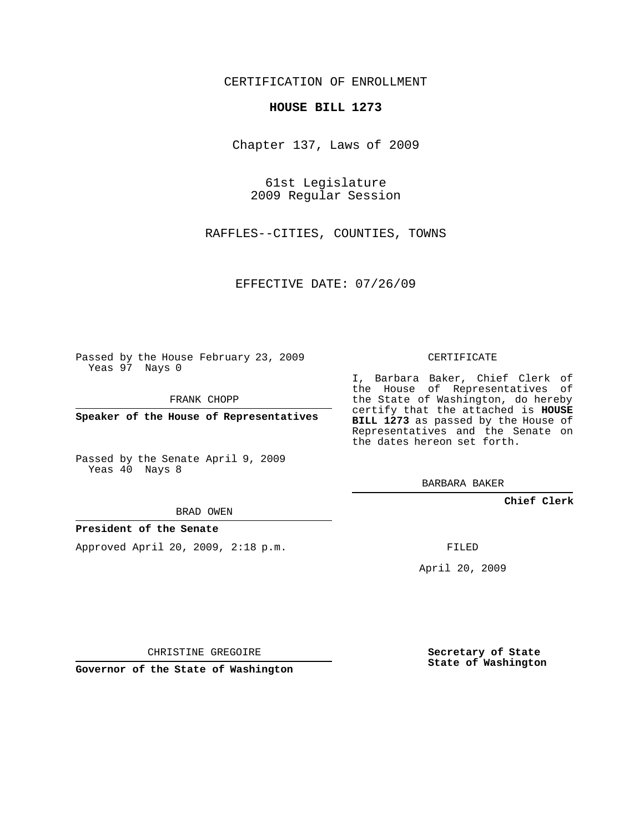## CERTIFICATION OF ENROLLMENT

## **HOUSE BILL 1273**

Chapter 137, Laws of 2009

61st Legislature 2009 Regular Session

RAFFLES--CITIES, COUNTIES, TOWNS

EFFECTIVE DATE: 07/26/09

Passed by the House February 23, 2009 Yeas 97 Nays 0

FRANK CHOPP

**Speaker of the House of Representatives**

Passed by the Senate April 9, 2009 Yeas 40 Nays 8

BRAD OWEN

## **President of the Senate**

Approved April 20, 2009, 2:18 p.m.

CERTIFICATE

I, Barbara Baker, Chief Clerk of the House of Representatives of the State of Washington, do hereby certify that the attached is **HOUSE BILL 1273** as passed by the House of Representatives and the Senate on the dates hereon set forth.

BARBARA BAKER

**Chief Clerk**

FILED

April 20, 2009

CHRISTINE GREGOIRE

**Governor of the State of Washington**

**Secretary of State State of Washington**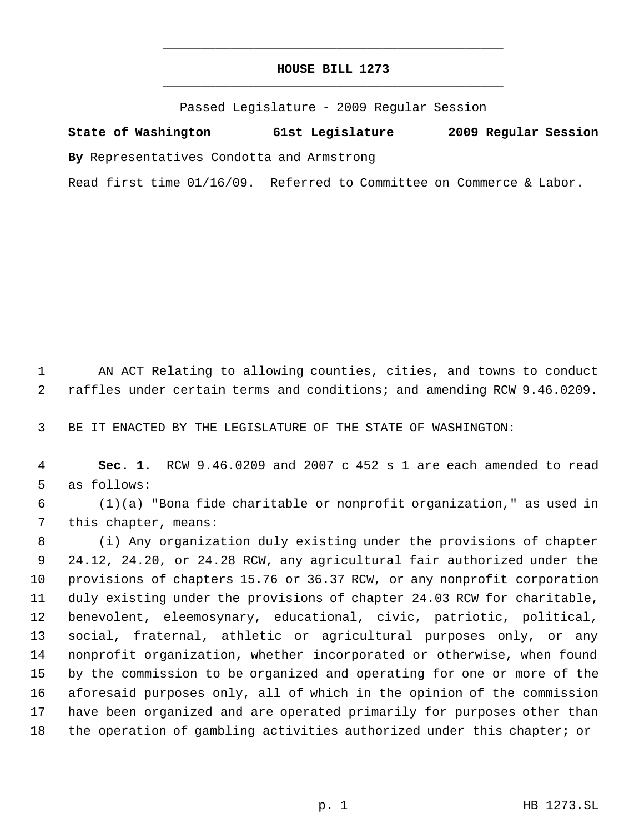## **HOUSE BILL 1273** \_\_\_\_\_\_\_\_\_\_\_\_\_\_\_\_\_\_\_\_\_\_\_\_\_\_\_\_\_\_\_\_\_\_\_\_\_\_\_\_\_\_\_\_\_

\_\_\_\_\_\_\_\_\_\_\_\_\_\_\_\_\_\_\_\_\_\_\_\_\_\_\_\_\_\_\_\_\_\_\_\_\_\_\_\_\_\_\_\_\_

Passed Legislature - 2009 Regular Session

**State of Washington 61st Legislature 2009 Regular Session By** Representatives Condotta and Armstrong Read first time 01/16/09. Referred to Committee on Commerce & Labor.

 AN ACT Relating to allowing counties, cities, and towns to conduct raffles under certain terms and conditions; and amending RCW 9.46.0209.

BE IT ENACTED BY THE LEGISLATURE OF THE STATE OF WASHINGTON:

 **Sec. 1.** RCW 9.46.0209 and 2007 c 452 s 1 are each amended to read as follows:

 (1)(a) "Bona fide charitable or nonprofit organization," as used in this chapter, means:

 (i) Any organization duly existing under the provisions of chapter 24.12, 24.20, or 24.28 RCW, any agricultural fair authorized under the provisions of chapters 15.76 or 36.37 RCW, or any nonprofit corporation duly existing under the provisions of chapter 24.03 RCW for charitable, benevolent, eleemosynary, educational, civic, patriotic, political, social, fraternal, athletic or agricultural purposes only, or any nonprofit organization, whether incorporated or otherwise, when found by the commission to be organized and operating for one or more of the aforesaid purposes only, all of which in the opinion of the commission have been organized and are operated primarily for purposes other than the operation of gambling activities authorized under this chapter; or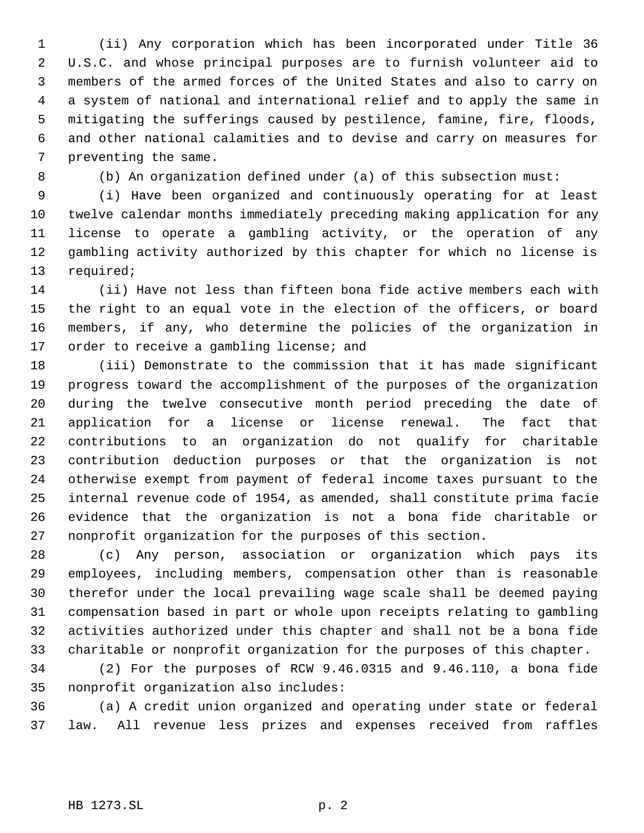(ii) Any corporation which has been incorporated under Title 36 U.S.C. and whose principal purposes are to furnish volunteer aid to members of the armed forces of the United States and also to carry on a system of national and international relief and to apply the same in mitigating the sufferings caused by pestilence, famine, fire, floods, and other national calamities and to devise and carry on measures for preventing the same.

(b) An organization defined under (a) of this subsection must:

 (i) Have been organized and continuously operating for at least twelve calendar months immediately preceding making application for any license to operate a gambling activity, or the operation of any gambling activity authorized by this chapter for which no license is required;

 (ii) Have not less than fifteen bona fide active members each with the right to an equal vote in the election of the officers, or board members, if any, who determine the policies of the organization in 17 order to receive a gambling license; and

 (iii) Demonstrate to the commission that it has made significant progress toward the accomplishment of the purposes of the organization during the twelve consecutive month period preceding the date of application for a license or license renewal. The fact that contributions to an organization do not qualify for charitable contribution deduction purposes or that the organization is not otherwise exempt from payment of federal income taxes pursuant to the internal revenue code of 1954, as amended, shall constitute prima facie evidence that the organization is not a bona fide charitable or nonprofit organization for the purposes of this section.

 (c) Any person, association or organization which pays its employees, including members, compensation other than is reasonable therefor under the local prevailing wage scale shall be deemed paying compensation based in part or whole upon receipts relating to gambling activities authorized under this chapter and shall not be a bona fide charitable or nonprofit organization for the purposes of this chapter.

 (2) For the purposes of RCW 9.46.0315 and 9.46.110, a bona fide nonprofit organization also includes:

 (a) A credit union organized and operating under state or federal law. All revenue less prizes and expenses received from raffles